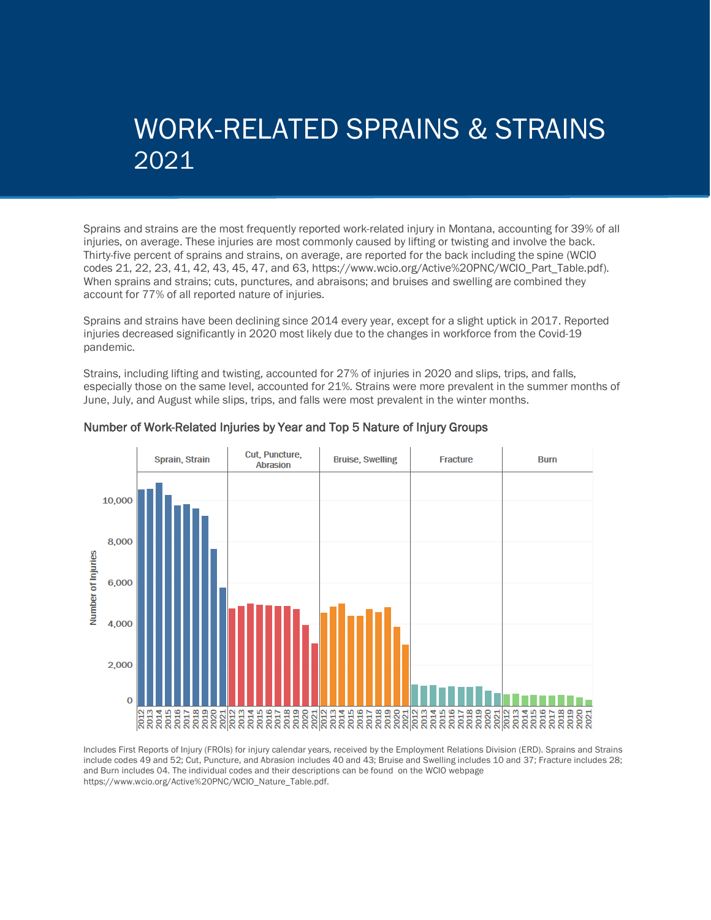## WORK-RELATED SPRAINS & STRAINS 2021

Sprains and strains are the most frequently reported work-related injury in Montana, accounting for 39% of all injuries, on average. These injuries are most commonly caused by lifting or twisting and involve the back. Thirty-five percent of sprains and strains, on average, are reported for the back including the spine (WCIO codes 21, 22, 23, 41, 42, 43, 45, 47, and 63, https://www.wcio.org/Active%20PNC/WCIO\_Part\_Table.pdf). When sprains and strains; cuts, punctures, and abraisons; and bruises and swelling are combined they account for 77% of all reported nature of injuries.

Sprains and strains have been declining since 2014 every year, except for a slight uptick in 2017. Reported injuries decreased significantly in 2020 most likely due to the changes in workforce from the Covid-19 pandemic.

Strains, including lifting and twisting, accounted for 27% of injuries in 2020 and slips, trips, and falls, especially those on the same level, accounted for 21%. Strains were more prevalent in the summer months of June, July, and August while slips, trips, and falls were most prevalent in the winter months.



#### Number of Work-Related Injuries by Year and Top 5 Nature of Injury Groups

Includes First Reports of Injury (FROIs) for injury calendar years, received by the Employment Relations Division (ERD). Sprains and Strains include codes 49 and 52; Cut, Puncture, and Abrasion includes 40 and 43; Bruise and Swelling includes 10 and 37; Fracture includes 28; and Burn includes 04. The individual codes and their descriptions can be found on the WCIO webpage https://www.wcio.org/Active%20PNC/WCIO\_Nature\_Table.pdf.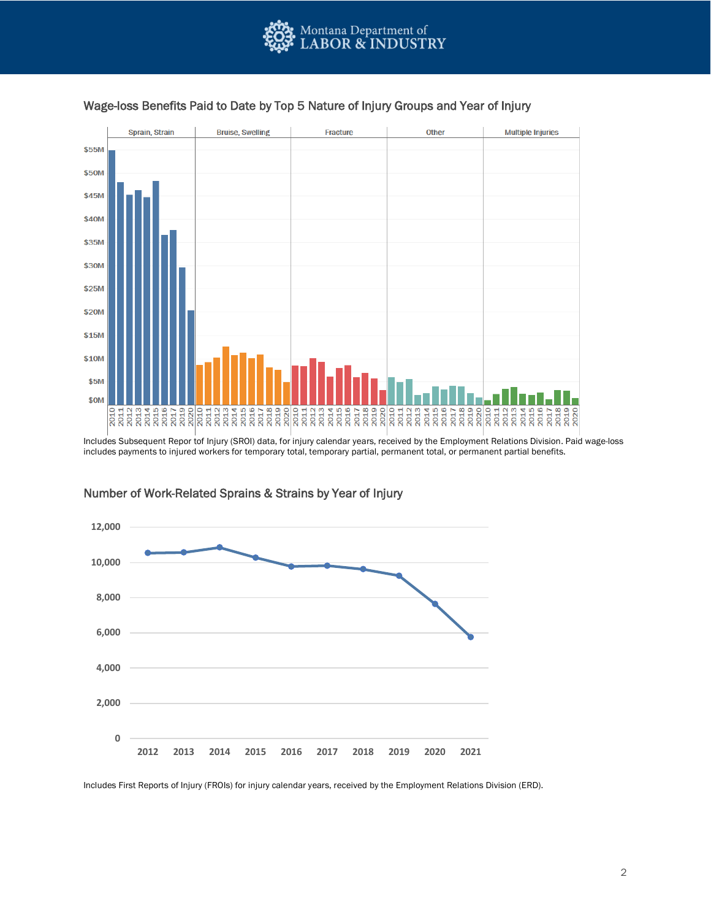



#### Wage-loss Benefits Paid to Date by Top 5 Nature of Injury Groups and Year of Injury

includes payments to injured workers for temporary total, temporary partial, permanent total, or permanent partial benefits.



### Number of Work-Related Sprains & Strains by Year of Injury

Includes First Reports of Injury (FROIs) for injury calendar years, received by the Employment Relations Division (ERD).